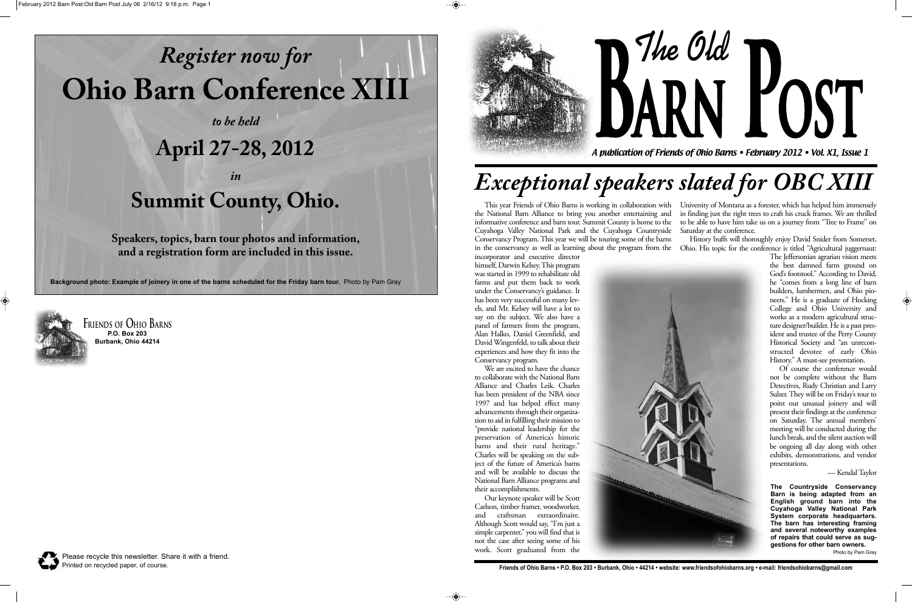This year Friends of Ohio Barns is working in collaboration with the National Barn Alliance to bring you another entertaining and informative conference and barn tour. Summit County is home to the Cuyahoga Valley National Park and the Cuyahoga Countryside Conservancy Program. This year we will be touring some of the barns in the conservancy as well as learning about the program from the

incorporator and executive director himself, Darwin Kelsey. This program was started in 1999 to rehabilitate old farms and put them back to work under the Conservancy's guidance. It has been very successful on many levels, and Mr. Kelsey will have a lot to say on the subject. We also have a panel of farmers from the program, Alan Halko, Daniel Greenfield, and David Wingenfeld, to talk about their experiences and how they fit into the Conservancy program.

We are excited to have the chance to collaborate with the National Barn Alliance and Charles Leik. Charles has been president of the NBA since 1997 and has helped effect many advancements through their organization to aid in fulfilling their mission to "provide national leadership for the preservation of America's historic barns and their rural heritage." Charles will be speaking on the subject of the future of America's barns and will be available to discuss the National Barn Alliance programs and their accomplishments.

The Jeffersonian agrarian vision meets the best damned farm ground on God's footstool." According to David, he "comes from a long line of barn builders, lumbermen, and Ohio pioneers." He is a graduate of Hocking College and Ohio University and works as a modern agricultural structure designer/builder. He is a past president and trustee of the Perry County Historical Society and "an unreconstructed devotee of early Ohio History." A must-see presentation.

Our keynote speaker will be Scott Carlson, timber framer, woodworker, and craftsman extraordinaire. Although Scott would say, "I'm just a simple carpenter," you will find that is not the case after seeing some of his work. Scott graduated from the

University of Montana as a forester, which has helped him immensely in finding just the right trees to craft his cruck frames. We are thrilled to be able to have him take us on a journey from "Tree to Frame" on Saturday at the conference.

History buffs will thoroughly enjoy David Snider from Somerset, Ohio. His topic for the conference is titled "Agricultural juggernaut:



Of course the conference would not be complete without the Barn Detectives, Rudy Christian and Larry Sulzer. They will be on Friday's tour to point out unusual joinery and will present their findings at the conference on Saturday. The annual members' meeting will be conducted during the lunch break, and the silent auction will be ongoing all day along with other exhibits, demonstrations, and vendor presentations.

— Kendal Taylor

A publication of Friends of Ohio Barns • February 2012 • Vol. X1, Issue 1

**The Old Barn Post**

**Friends of Ohio Barns P.O. Box 203 Burbank, Ohio 44214**

Please recycle this newsletter. Share it with a friend. Printed on recycled paper, of course.



# *Register now for* **Ohio Barn Conference XIII**

*to be held*

#### **April 27-28, 2012**

*in*

### **Summit County, Ohio.**

**Speakers, topics, barn tour photos and information, and a registration form are included in this issue.**

**Background photo: Example of joinery in one of the barns scheduled for the Friday barn tour.** Photo by Pam Gray



 $\bigcirc$ 

# *Exceptional speakers slated for OBC XIII*

**The Countryside Conservancy Barn is being adapted from an English ground barn into the Cuyahoga Valley National Park System corporate headquarters. The barn has interesting framing and several noteworthy examples of repairs that could serve as suggestions for other barn owners.**

Photo by Pam Gray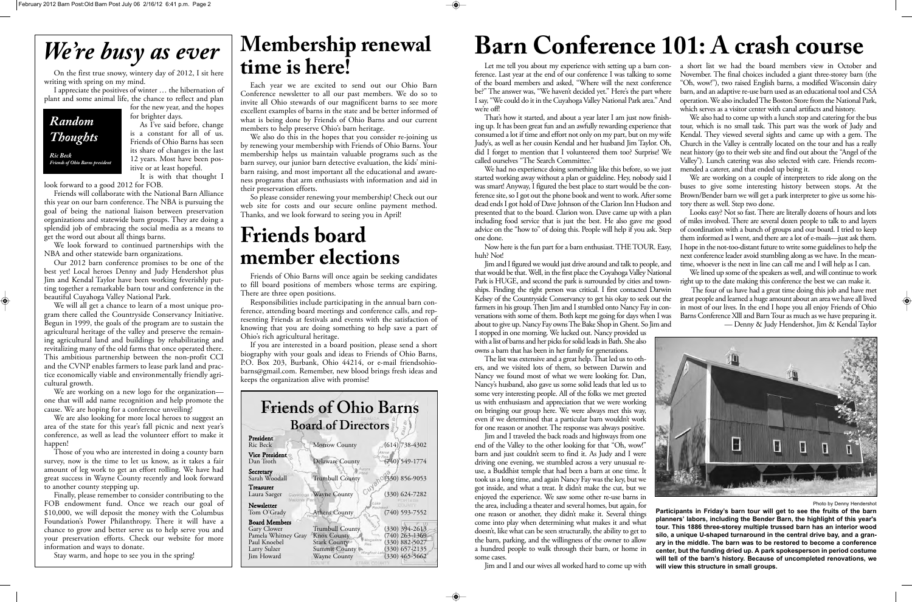for the new year, and the hopes for brighter days.

I appreciate the positives of winter … the hibernation of plant and some animal life, the chance to reflect and plan

> As I've said before, change is a constant for all of us. Friends of Ohio Barns has seen its share of changes in the last 12 years. Most have been positive or at least hopeful. It is with that thought I

look forward to a good 2012 for FOB.

Friends will collaborate with the National Barn Alliance this year on our barn conference. The NBA is pursuing the goal of being the national liaison between preservation organizations and statewide barn groups. They are doing a splendid job of embracing the social media as a means to get the word out about all things barns.

We look forward to continued partnerships with the NBA and other statewide barn organizations.

We are also looking for more local heroes to suggest an area of the state for this year's fall picnic and next year's conference, as well as lead the volunteer effort to make it happen!

Our 2012 barn conference promises to be one of the best yet! Local heroes Denny and Judy Hendershot plus Jim and Kendal Taylor have been working feverishly putting together a remarkable barn tour and conference in the beautiful Cuyahoga Valley National Park.

We will all get a chance to learn of a most unique program there called the Countryside Conservancy Initiative. Begun in 1999, the goals of the program are to sustain the agricultural heritage of the valley and preserve the remaining agricultural land and buildings by rehabilitating and revitalizing many of the old farms that once operated there. This ambitious partnership between the non-profit CCI and the CVNP enables farmers to lease park land and practice economically viable and environmentally friendly agricultural growth.

#### *We're busy as ever* Membership renewal **time is here!**

We are working on a new logo for the organization one that will add name recognition and help promote the cause. We are hoping for a conference unveiling!

We also do this in the hopes that you consider re-joining us by renewing your membership with Friends of Ohio Barns. Your membership helps us maintain valuable programs such as the barn survey, our junior barn detective evaluation, the kids' minibarn raising, and most important all the educational and awareness programs that arm enthusiasts with information and aid in their preservation efforts.

Those of you who are interested in doing a county barn survey, now is the time to let us know, as it takes a fair amount of leg work to get an effort rolling. We have had great success in Wayne County recently and look forward to another county stepping up.

Finally, please remember to consider contributing to the FOB endowment fund. Once we reach our goal of \$10,000, we will deposit the money with the Columbus Foundation's Power Philanthropy. There it will have a chance to grow and better serve us to help serve you and your preservation efforts. Check our website for more information and ways to donate.

Stay warm, and hope to see you in the spring!

| <b>Friends of Ohio Barns</b><br><b>Board of Directors</b>                                                |                                                                                                                          |                                                                                                                                         |
|----------------------------------------------------------------------------------------------------------|--------------------------------------------------------------------------------------------------------------------------|-----------------------------------------------------------------------------------------------------------------------------------------|
| President<br>Ric Beck                                                                                    | Morrow County                                                                                                            | $(614)$ 738-4302                                                                                                                        |
| Vice President <sup>®</sup><br>Dan Troth                                                                 | Delaware County                                                                                                          | $(740)$ 549-1774                                                                                                                        |
| Secretary<br>Sarah Woodall                                                                               | <b>Trumbull County</b>                                                                                                   | $(330) 856 - 9053$                                                                                                                      |
| Treasurer<br>Laura Saeger<br>National Par                                                                | GUYB<br>Guyahoga VWayne County                                                                                           | $(330)$ 624-7282                                                                                                                        |
| Newsletter<br>Tom O'Grady                                                                                | Athens County                                                                                                            | Lake<br>Rockwell<br>$(740)$ 593-7552                                                                                                    |
| <b>Board Members</b><br>Gary Clower<br>Pamela Whitney Gray<br>Paul Knoebel<br>Larry Sulzer<br>Jim Howard | Trumbull County<br><b>Knox County</b><br>Stark County®<br>Res.<br><b>Summit County</b><br><b>Wayne County</b><br>COLINIA | $(330)$ 394-2613<br>(740) 263-1369<br>Mogadore<br>(330) 882-5027<br>$(330)$ 657-2135<br>Wingfoot Lak<br>$(330)$ 465-5662<br>STARY COUNT |

*Random Thoughts Ric Beck Friends of Ohio Barns president*

 $\bullet$ 

Each year we are excited to send out our Ohio Barn Conference newsletter to all our past members. We do so to invite all Ohio stewards of our magnificent barns to see more excellent examples of barns in the state and be better informed of what is being done by Friends of Ohio Barns and our current members to help preserve Ohio's barn heritage.

So please consider renewing your membership! Check out our web site for costs and our secure online payment method. Thanks, and we look forward to seeing you in April!

#### **Friends board member elections**

Friends of Ohio Barns will once again be seeking candidates to fill board positions of members whose terms are expiring. There are three open positions.

Responsibilities include participating in the annual barn conference, attending board meetings and conference calls, and representing Friends at festivals and events with the satisfaction of knowing that you are doing something to help save a part of Ohio's rich agricultural heritage.

If you are interested in a board position, please send a short biography with your goals and ideas to Friends of Ohio Barns, P.O. Box 203, Burbank, Ohio 44214, or e-mail friendsohiobarns@gmail.com. Remember, new blood brings fresh ideas and keeps the organization alive with promise!

Let me tell you about my experience with setting up a barn con-a short list we had the board members view in October and ference. Last year at the end of our conference I was talking to some November. The final choices included a giant three-storey barn (the of the board members and asked, "Where will the next conference be?" The answer was, "We haven't decided yet." Here's the part where I say, "We could do it in the Cuyahoga Valley National Park area." And we're off! "Oh, wow!"), two raised English barns, a modified Wisconsin dairy barn, and an adaptive re-use barn used as an educational tool and CSA operation. We also included The Boston Store from the National Park, which serves as a visitor center with canal artifacts and history.

That's how it started, and about a year later I am just now finishing up. It has been great fun and an awfully rewarding experience that consumed a lot if time and effort not only on my part, but on my wife Judy's, as well as her cousin Kendal and her husband Jim Taylor. Oh, did I forget to mention that I volunteered them too? Surprise! We called ourselves "The Search Committee." We had no experience doing something like this before, so we just We also had to come up with a lunch stop and catering for the bus tour, which is no small task. This part was the work of Judy and Kendal. They viewed several sights and came up with a gem. The Church in the Valley is centrally located on the tour and has a really neat history (go to their web site and find out about the "Angel of the Valley"). Lunch catering was also selected with care. Friends recommended a caterer, and that ended up being it.

The list was extensive and a great help. That led us to others, and we visited lots of them, so between Darwin and Nancy we found most of what we were looking for. Dan, Nancy's husband, also gave us some solid leads that led us to some very interesting people. All of the folks we met greeted us with enthusiasm and appreciation that we were working on bringing our group here. We were always met this way, even if we determined that a particular barn wouldn't work for one reason or another. The response was always positive.

started working away without a plan or guideline. Hey, nobody said I was smart! Anyway, I figured the best place to start would be the conference site, so I got out the phone book and went to work. After some dead ends I got hold of Dave Johnson of the Clarion Inn Hudson and presented that to the board. Clarion won. Dave came up with a plan including food service that is just the best. He also gave me good advice on the "how to" of doing this. People will help if you ask. Step one done. Now here is the fun part for a barn enthusiast. THE TOUR. Easy, huh? Not! We are working on a couple of interpreters to ride along on the buses to give some interesting history between stops. At the Brown/Bender barn we will get a park interpreter to give us some history there as well. Step two done. Looks easy? Not so fast. There are literally dozens of hours and lots of miles involved. There are several dozen people to talk to and layers of coordination with a bunch of groups and our board. I tried to keep them informed as I went, and there are a lot of e-mails—just ask them. I hope in the not-too-distant future to write some guidelines to help the next conference leader avoid stumbling along as we have. In the mean-

Jim and I figured we would just drive around and talk to people, and that would be that. Well, in the first place the Coyahoga Valley National Park is HUGE, and second the park is surrounded by cities and townships. Finding the right person was critical. I first contacted Darwin Kelsey of the Countryside Conservancy to get his okay to seek out the farmers in his group. Then Jim and I stumbled onto Nancy Fay in conversations with some of them. Both kept me going for days when I was about to give up. Nancy Fay owns The Bake Shop in Ghent. So Jim and I stopped in one morning. We lucked out. Nancy provided us with a list of barns and her picks for solid leads in Bath. She also owns a barn that has been in her family for generations. time, whoever is the next in line can call me and I will help as I can. We lined up some of the speakers as well, and will continue to work right up to the date making this conference the best we can make it. The four of us have had a great time doing this job and have met great people and learned a huge amount about an area we have all lived in most of our lives. In the end I hope you all enjoy Friends of Ohio Barns Conference Xlll and Barn Tour as much as we have preparing it. — Denny & Judy Hendershot, Jim & Kendal Taylor

Jim and I traveled the back roads and highways from one E end of the Valley to the other looking for that "Oh, wow!" barn and just couldn't seem to find it. As Judy and I were driving one evening, we stumbled across a very unusual reuse, a Buddhist temple that had been a barn at one time. It took us a long time, and again Nancy Fay was the key, but we got inside, and what a treat. It didn't make the cut, but we enjoyed the experience. We saw some other re-use barns in Photo by Denny Hendershot the area, including a theater and several homes, but again, for **Participants in Friday's barn tour will get to see the fruits of the barn** one reason or another, they didn't make it. Several things **planners' labors, including the Bender Barn, the highlight of this year's** come into play when determining what makes it and what **tour. This 1886 three-storey multiple trussed barn has an interior wood** doesn't, like what can be seen structurally, the ability to get to **silo, a unique U-shaped turnaround in the central drive bay, and a gran**the barn, parking, and the willingness of the owner to allow **ary in the middle. The barn was to be restored to become a conference** a hundred people to walk through their barn, or home in **center, but the funding dried up. A park spokesperson in period costume** some cases. **will tell of the barn's history. Because of uncompleted renovations, we** Jim and I and our wives all worked hard to come up with **will view this structure in small groups.** 



### **Barn Conference 101: A crash course**

On the first true snowy, wintery day of 2012, I sit here writing with spring on my mind.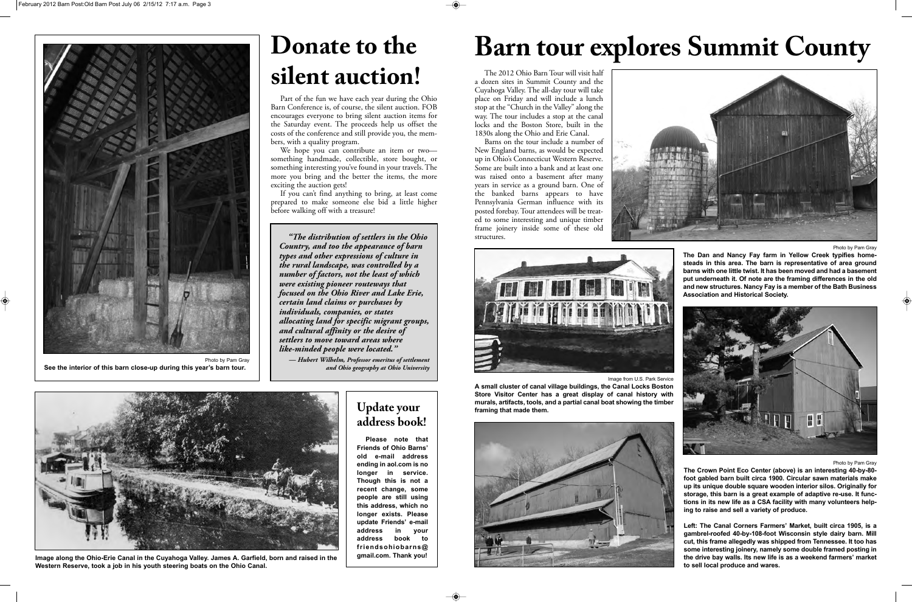#### **Update your address book!**

**Please note that Friends of Ohio Barns' old e-mail address ending in aol.com is no longer in service. Though this is not a recent change, some people are still using this address, which no longer exists. Please update Friends' e-mail address in your address book to friendsohiobarns@ gmail.com. Thank you!**

The 2012 Ohio Barn Tour will visit half a dozen sites in Summit County and the Cuyahoga Valley. The all-day tour will take place on Friday and will include a lunch stop at the "Church in the Valley" along the way. The tour includes a stop at the canal locks and the Boston Store, built in the 1830s along the Ohio and Erie Canal.

Barns on the tour include a number of New England barns, as would be expected up in Ohio's Connecticut Western Reserve. Some are built into a bank and at least one was raised onto a basement after many years in service as a ground barn. One of the banked barns appears to have Pennsylvania German influence with its posted forebay. Tour attendees will be treated to some interesting and unique timber frame joinery inside some of these old structures.





Photo by Pam Gray

**The Dan and Nancy Fay farm in Yellow Creek typifies homesteads in this area. The barn is representative of area ground barns with one little twist. It has been moved and had a basement put underneath it. Of note are the framing differences in the old and new structures. Nancy Fay is a member of the Bath Business Association and Historical Society.** 



Photo by Pam Gray

**The Crown Point Eco Center (above) is an interesting 40-by-80 foot gabled barn built circa 1900. Circular sawn materials make up its unique double square wooden interior silos. Originally for storage, this barn is a great example of adaptive re-use. It functions in its new life as a CSA facility with many volunteers helping to raise and sell a variety of produce.**

We hope you can contribute an item or twosomething handmade, collectible, store bought, or something interesting you've found in your travels. The more you bring and the better the items, the more exciting the auction gets!

If you can't find anything to bring, at least come prepared to make someone else bid a little higher before walking off with a treasure!

> **Left: The Canal Corners Farmers' Market, built circa 1905, is a gambrel-roofed 40-by-108-foot Wisconsin style dairy barn. Mill cut, this frame allegedly was shipped from Tennessee. It too has some interesting joinery, namely some double framed posting in the drive bay walls. Its new life is as a weekend farmers' market to sell local produce and wares.**

# **Barn tour explores Summit County**

Image from U.S. Park Service



**A small cluster of canal village buildings, the Canal Locks Boston Store Visitor Center has a great display of canal history with murals, artifacts, tools, and a partial canal boat showing the timber framing that made them.**





**Image along the Ohio-Erie Canal in the Cuyahoga Valley. James A. Garfield, born and raised in the Western Reserve, took a job in his youth steering boats on the Ohio Canal.** 

*"The distribution of settlers in the Ohio Country, and too the appearance of barn types and other expressions of culture in the rural landscape, was controlled by a number of factors, not the least of which were existing pioneer routeways that focused on the Ohio River and Lake Erie, certain land claims or purchases by individuals, companies, or states allocating land for specific migrant groups, and cultural affinity or the desire of settlers to move toward areas where like-minded people were located."* 

*— Hubert Wilhelm, Professor emeritus of settlement and Ohio geography at Ohio University*

## **Donate to the silent auction!**

Part of the fun we have each year during the Ohio Barn Conference is, of course, the silent auction. FOB encourages everyone to bring silent auction items for the Saturday event. The proceeds help us offset the costs of the conference and still provide you, the members, with a quality program.



**See the interior of this barn close-up during this year's barn tour.**